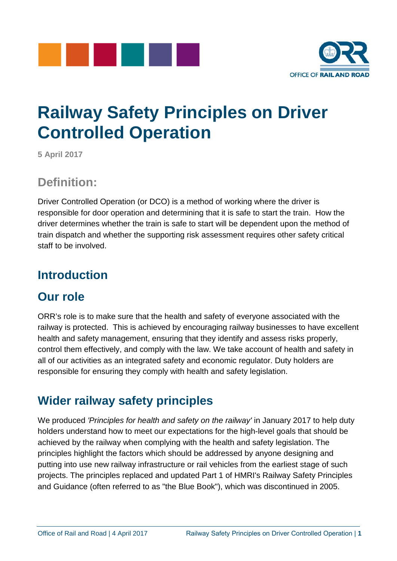



## **Railway Safety Principles on Driver Controlled Operation**

**5 April 2017**

#### **Definition:**

Driver Controlled Operation (or DCO) is a method of working where the driver is responsible for door operation and determining that it is safe to start the train. How the driver determines whether the train is safe to start will be dependent upon the method of train dispatch and whether the supporting risk assessment requires other safety critical staff to be involved.

### **Introduction**

### **Our role**

ORR's role is to make sure that the health and safety of everyone associated with the railway is protected. This is achieved by encouraging railway businesses to have excellent health and safety management, ensuring that they identify and assess risks properly, control them effectively, and comply with the law. We take account of health and safety in all of our activities as an integrated safety and economic regulator. Duty holders are responsible for ensuring they comply with health and safety legislation.

### **Wider railway safety principles**

We produced *'Principles for health and safety on the railway'* in January 2017 to help duty holders understand how to meet our expectations for the high-level goals that should be achieved by the railway when complying with the health and safety legislation. The principles highlight the factors which should be addressed by anyone designing and putting into use new railway infrastructure or rail vehicles from the earliest stage of such projects. The principles replaced and updated Part 1 of HMRI's Railway Safety Principles and Guidance (often referred to as "the Blue Book"), which was discontinued in 2005.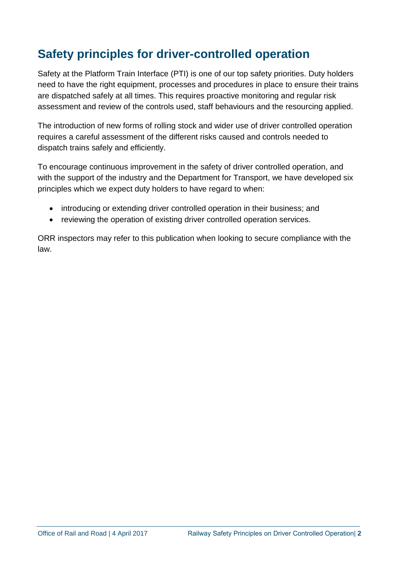### **Safety principles for driver-controlled operation**

Safety at the Platform Train Interface (PTI) is one of our top safety priorities. Duty holders need to have the right equipment, processes and procedures in place to ensure their trains are dispatched safely at all times. This requires proactive monitoring and regular risk assessment and review of the controls used, staff behaviours and the resourcing applied.

The introduction of new forms of rolling stock and wider use of driver controlled operation requires a careful assessment of the different risks caused and controls needed to dispatch trains safely and efficiently.

To encourage continuous improvement in the safety of driver controlled operation, and with the support of the industry and the Department for Transport, we have developed six principles which we expect duty holders to have regard to when:

- introducing or extending driver controlled operation in their business; and
- reviewing the operation of existing driver controlled operation services.

ORR inspectors may refer to this publication when looking to secure compliance with the law.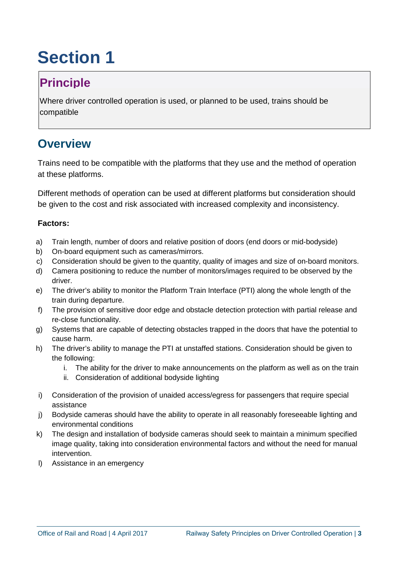## **Principle**

Where driver controlled operation is used, or planned to be used, trains should be compatible

#### **Overview**

Trains need to be compatible with the platforms that they use and the method of operation at these platforms.

Different methods of operation can be used at different platforms but consideration should be given to the cost and risk associated with increased complexity and inconsistency.

- a) Train length, number of doors and relative position of doors (end doors or mid-bodyside)
- b) On-board equipment such as cameras/mirrors.
- c) Consideration should be given to the quantity, quality of images and size of on-board monitors.
- d) Camera positioning to reduce the number of monitors/images required to be observed by the driver.
- e) The driver's ability to monitor the Platform Train Interface (PTI) along the whole length of the train during departure.
- f) The provision of sensitive door edge and obstacle detection protection with partial release and re-close functionality.
- g) Systems that are capable of detecting obstacles trapped in the doors that have the potential to cause harm.
- h) The driver's ability to manage the PTI at unstaffed stations. Consideration should be given to the following:
	- i. The ability for the driver to make announcements on the platform as well as on the train
	- ii. Consideration of additional bodyside lighting
- i) Consideration of the provision of unaided access/egress for passengers that require special assistance
- j) Bodyside cameras should have the ability to operate in all reasonably foreseeable lighting and environmental conditions
- k) The design and installation of bodyside cameras should seek to maintain a minimum specified image quality, taking into consideration environmental factors and without the need for manual intervention.
- l) Assistance in an emergency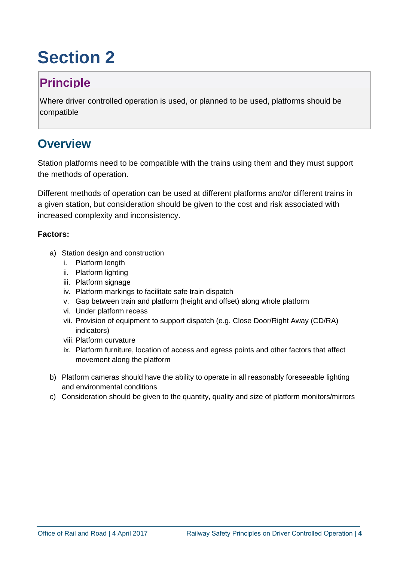## **Principle**

Where driver controlled operation is used, or planned to be used, platforms should be compatible

#### **Overview**

Station platforms need to be compatible with the trains using them and they must support the methods of operation.

Different methods of operation can be used at different platforms and/or different trains in a given station, but consideration should be given to the cost and risk associated with increased complexity and inconsistency.

- a) Station design and construction
	- i. Platform length
	- ii. Platform lighting
	- iii. Platform signage
	- iv. Platform markings to facilitate safe train dispatch
	- v. Gap between train and platform (height and offset) along whole platform
	- vi. Under platform recess
	- vii. Provision of equipment to support dispatch (e.g. Close Door/Right Away (CD/RA) indicators)
	- viii. Platform curvature
	- ix. Platform furniture, location of access and egress points and other factors that affect movement along the platform
- b) Platform cameras should have the ability to operate in all reasonably foreseeable lighting and environmental conditions
- c) Consideration should be given to the quantity, quality and size of platform monitors/mirrors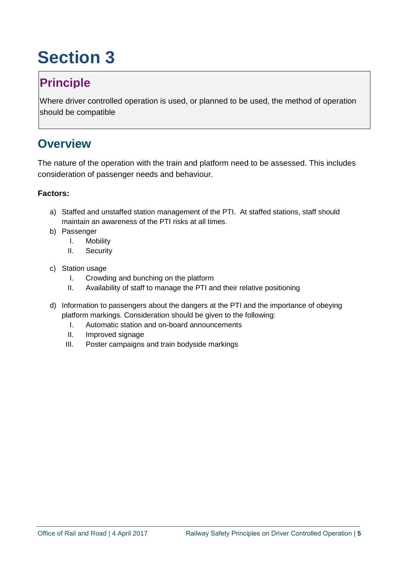## **Principle**

Where driver controlled operation is used, or planned to be used, the method of operation should be compatible

#### **Overview**

The nature of the operation with the train and platform need to be assessed. This includes consideration of passenger needs and behaviour.

- a) Staffed and unstaffed station management of the PTI. At staffed stations, staff should maintain an awareness of the PTI risks at all times.
- b) Passenger
	- I. Mobility
	- II. Security
- c) Station usage
	- I. Crowding and bunching on the platform
	- II. Availability of staff to manage the PTI and their relative positioning
- d) Information to passengers about the dangers at the PTI and the importance of obeying platform markings. Consideration should be given to the following:
	- I. Automatic station and on-board announcements
	- II. Improved signage
	- III. Poster campaigns and train bodyside markings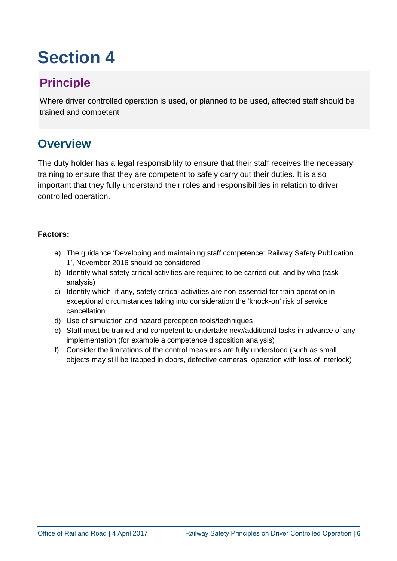## **Principle**

Where driver controlled operation is used, or planned to be used, affected staff should be trained and competent

#### **Overview**

The duty holder has a legal responsibility to ensure that their staff receives the necessary training to ensure that they are competent to safely carry out their duties. It is also important that they fully understand their roles and responsibilities in relation to driver controlled operation.

- a) The guidance 'Developing and maintaining staff competence: Railway Safety Publication 1', November 2016 should be considered
- b) Identify what safety critical activities are required to be carried out, and by who (task analysis)
- c) Identify which, if any, safety critical activities are non-essential for train operation in exceptional circumstances taking into consideration the 'knock-on' risk of service cancellation
- d) Use of simulation and hazard perception tools/techniques
- e) Staff must be trained and competent to undertake new/additional tasks in advance of any implementation (for example a competence disposition analysis)
- f) Consider the limitations of the control measures are fully understood (such as small objects may still be trapped in doors, defective cameras, operation with loss of interlock)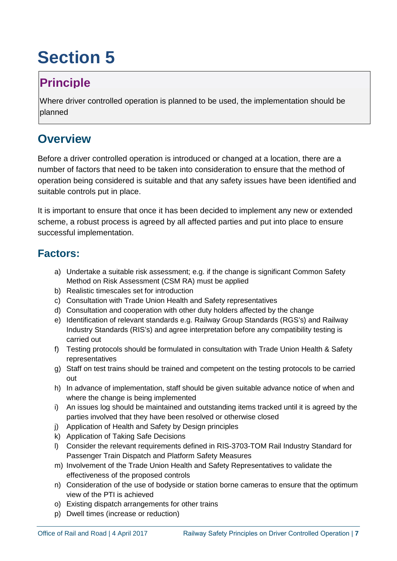## **Principle**

Where driver controlled operation is planned to be used, the implementation should be planned

### **Overview**

Before a driver controlled operation is introduced or changed at a location, there are a number of factors that need to be taken into consideration to ensure that the method of operation being considered is suitable and that any safety issues have been identified and suitable controls put in place.

It is important to ensure that once it has been decided to implement any new or extended scheme, a robust process is agreed by all affected parties and put into place to ensure successful implementation.

- a) Undertake a suitable risk assessment; e.g. if the change is significant Common Safety Method on Risk Assessment (CSM RA) must be applied
- b) Realistic timescales set for introduction
- c) Consultation with Trade Union Health and Safety representatives
- d) Consultation and cooperation with other duty holders affected by the change
- e) Identification of relevant standards e.g. Railway Group Standards (RGS's) and Railway Industry Standards (RIS's) and agree interpretation before any compatibility testing is carried out
- f) Testing protocols should be formulated in consultation with Trade Union Health & Safety representatives
- g) Staff on test trains should be trained and competent on the testing protocols to be carried out
- h) In advance of implementation, staff should be given suitable advance notice of when and where the change is being implemented
- i) An issues log should be maintained and outstanding items tracked until it is agreed by the parties involved that they have been resolved or otherwise closed
- j) Application of Health and Safety by Design principles
- k) Application of Taking Safe Decisions
- l) Consider the relevant requirements defined in RIS-3703-TOM Rail Industry Standard for Passenger Train Dispatch and Platform Safety Measures
- m) Involvement of the Trade Union Health and Safety Representatives to validate the effectiveness of the proposed controls
- n) Consideration of the use of bodyside or station borne cameras to ensure that the optimum view of the PTI is achieved
- o) Existing dispatch arrangements for other trains
- p) Dwell times (increase or reduction)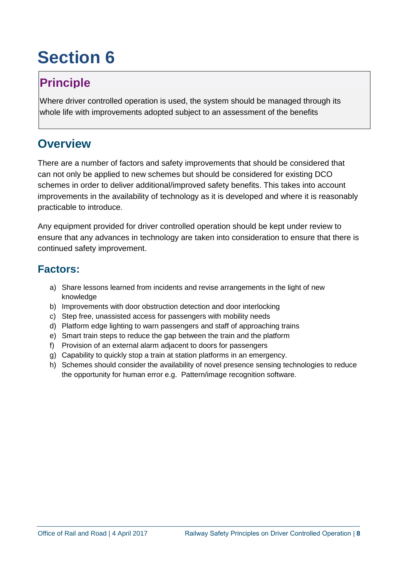## **Principle**

Where driver controlled operation is used, the system should be managed through its whole life with improvements adopted subject to an assessment of the benefits

### **Overview**

There are a number of factors and safety improvements that should be considered that can not only be applied to new schemes but should be considered for existing DCO schemes in order to deliver additional/improved safety benefits. This takes into account improvements in the availability of technology as it is developed and where it is reasonably practicable to introduce.

Any equipment provided for driver controlled operation should be kept under review to ensure that any advances in technology are taken into consideration to ensure that there is continued safety improvement.

- a) Share lessons learned from incidents and revise arrangements in the light of new knowledge
- b) Improvements with door obstruction detection and door interlocking
- c) Step free, unassisted access for passengers with mobility needs
- d) Platform edge lighting to warn passengers and staff of approaching trains
- e) Smart train steps to reduce the gap between the train and the platform
- f) Provision of an external alarm adjacent to doors for passengers
- g) Capability to quickly stop a train at station platforms in an emergency.
- h) Schemes should consider the availability of novel presence sensing technologies to reduce the opportunity for human error e.g. Pattern/image recognition software.